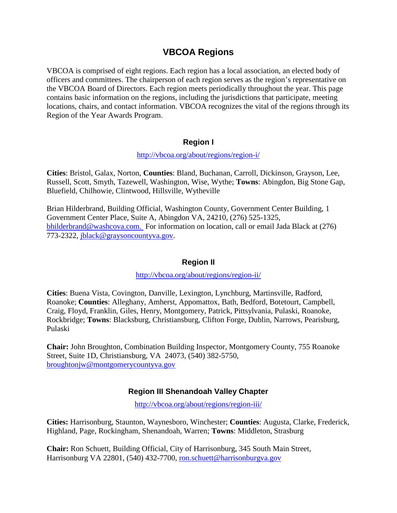# **VBCOA Regions**

VBCOA is comprised of eight regions. Each region has a local association, an elected body of officers and committees. The chairperson of each region serves as the region's representative on the VBCOA Board of Directors. Each region meets periodically throughout the year. This page contains basic information on the regions, including the jurisdictions that participate, meeting locations, chairs, and contact information. VBCOA recognizes the vital of the regions through its Region of the Year Awards Program.

### **Region I**

#### <http://vbcoa.org/about/regions/region-i/>

**Cities**: Bristol, Galax, Norton, **Counties**: Bland, Buchanan, Carroll, Dickinson, Grayson, Lee, Russell, Scott, Smyth, Tazewell, Washington, Wise, Wythe; **Towns**: Abingdon, Big Stone Gap, Bluefield, Chilhowie, Clintwood, Hillsville, Wytheville

Brian Hilderbrand, Building Official, Washington County, Government Center Building, 1 Government Center Place, Suite A, Abingdon VA, 24210, (276) 525-1325, [bhilderbrand@washcova.com.](mailto:bhilderbrand@washcova.com) For information on location, call or email Jada Black at (276) 773-2322, [jblack@graysoncountyva.gov.](mailto:jblack@graysoncountyva.gov)

# **Region II**

### <http://vbcoa.org/about/regions/region-ii/>

**Cities**: Buena Vista, Covington, Danville, Lexington, Lynchburg, Martinsville, Radford, Roanoke; **Counties**: Alleghany, Amherst, Appomattox, Bath, Bedford, Botetourt, Campbell, Craig, Floyd, Franklin, Giles, Henry, Montgomery, Patrick, Pittsylvania, Pulaski, Roanoke, Rockbridge; **Towns**: Blacksburg, Christiansburg, Clifton Forge, Dublin, Narrows, Pearisburg, Pulaski

**Chair:** John Broughton, Combination Building Inspector, Montgomery County, 755 Roanoke Street, Suite 1D, Christiansburg, VA 24073, (540) 382-5750, [broughtonjw@montgomerycountyva.gov](mailto:broughtonjw@montgomerycountyva.gov)

# **Region III Shenandoah Valley Chapter**

<http://vbcoa.org/about/regions/region-iii/>

**Cities:** Harrisonburg, Staunton, Waynesboro, Winchester; **Counties**: Augusta, Clarke, Frederick, Highland, Page, Rockingham, Shenandoah, Warren; **Towns**: Middleton, Strasburg

**Chair:** Ron Schuett, Building Official, City of Harrisonburg, 345 South Main Street, Harrisonburg VA 22801, (540) 432-7700, ron.schuett@harrisonburgva.gov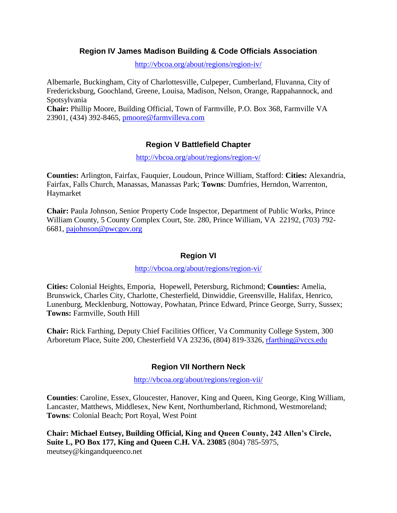### **Region IV James Madison Building & Code Officials Association**

<http://vbcoa.org/about/regions/region-iv/>

Albemarle, Buckingham, City of Charlottesville, Culpeper, Cumberland, Fluvanna, City of Fredericksburg, Goochland, Greene, Louisa, Madison, Nelson, Orange, Rappahannock, and Spotsylvania **Chair:** Phillip Moore, Building Official, Town of Farmville, P.O. Box 368, Farmville VA 23901, (434) 392-8465, [pmoore@farmvilleva.com](mailto:pmoore@farmvilleva.com)

# **Region V Battlefield Chapter**

<http://vbcoa.org/about/regions/region-v/>

**Counties:** Arlington, Fairfax, Fauquier, Loudoun, Prince William, Stafford: **Cities:** Alexandria, Fairfax, Falls Church, Manassas, Manassas Park; **Towns**: Dumfries, Herndon, Warrenton, Haymarket

**Chair:** Paula Johnson, Senior Property Code Inspector, Department of Public Works, Prince William County, 5 County Complex Court, Ste. 280, Prince William, VA 22192, (703) 792- 6681, [pajohnson@pwcgov.org](mailto:pajohnson@pwcgov.org)

#### **Region VI**

<http://vbcoa.org/about/regions/region-vi/>

**Cities:** Colonial Heights, Emporia, Hopewell, Petersburg, Richmond; **Counties:** Amelia, Brunswick, Charles City, Charlotte, Chesterfield, Dinwiddie, Greensville, Halifax, Henrico, Lunenburg, Mecklenburg, Nottoway, Powhatan, Prince Edward, Prince George, Surry, Sussex; **Towns:** Farmville, South Hill

**Chair:** Rick Farthing, Deputy Chief Facilities Officer, Va Community College System, 300 Arboretum Place, Suite 200, Chesterfield VA 23236, (804) 819-3326, [rfarthing@vccs.edu](mailto:rfarthing@vccs.edu)

### **Region VII Northern Neck**

<http://vbcoa.org/about/regions/region-vii/>

**Counties**: Caroline, Essex, Gloucester, Hanover, King and Queen, King George, King William, Lancaster, Matthews, Middlesex, New Kent, Northumberland, Richmond, Westmoreland; **Towns**: Colonial Beach; Port Royal, West Point

**Chair: Michael Eutsey, Building Official, King and Queen County, 242 Allen's Circle, Suite L, PO Box 177, King and Queen C.H. VA. 23085** (804) 785-5975, meutsey@kingandqueenco.net